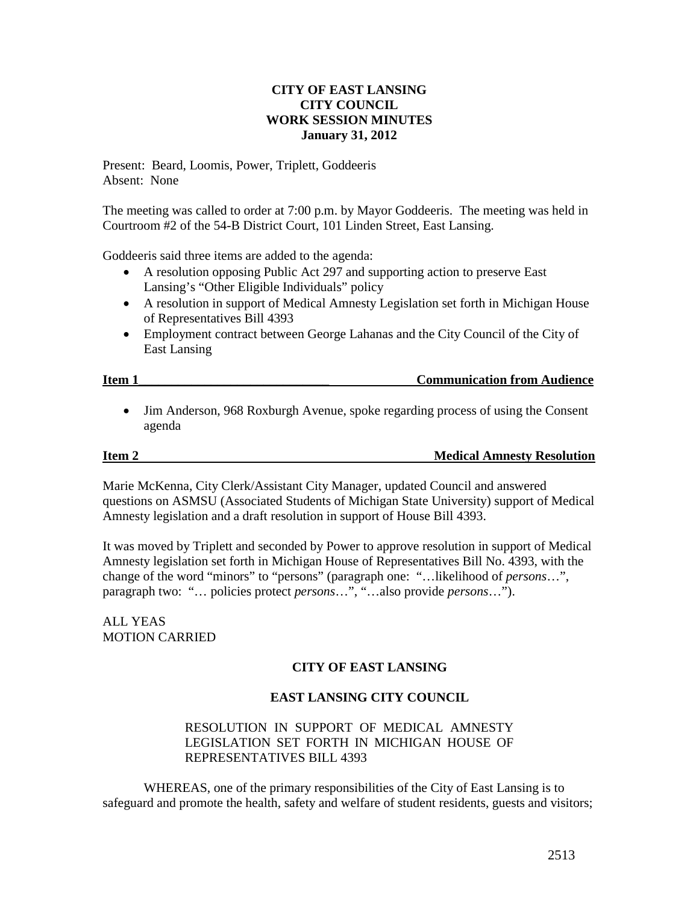## **CITY OF EAST LANSING CITY COUNCIL WORK SESSION MINUTES January 31, 2012**

Present: Beard, Loomis, Power, Triplett, Goddeeris Absent: None

The meeting was called to order at 7:00 p.m. by Mayor Goddeeris. The meeting was held in Courtroom #2 of the 54-B District Court, 101 Linden Street, East Lansing.

Goddeeris said three items are added to the agenda:

- A resolution opposing Public Act 297 and supporting action to preserve East Lansing's "Other Eligible Individuals" policy
- A resolution in support of Medical Amnesty Legislation set forth in Michigan House of Representatives Bill 4393
- Employment contract between George Lahanas and the City Council of the City of East Lansing

• Jim Anderson, 968 Roxburgh Avenue, spoke regarding process of using the Consent agenda

### **Item 2** Medical Amnesty Resolution

Marie McKenna, City Clerk/Assistant City Manager, updated Council and answered questions on ASMSU (Associated Students of Michigan State University) support of Medical Amnesty legislation and a draft resolution in support of House Bill 4393.

It was moved by Triplett and seconded by Power to approve resolution in support of Medical Amnesty legislation set forth in Michigan House of Representatives Bill No. 4393, with the change of the word "minors" to "persons" (paragraph one: "…likelihood of *persons*…", paragraph two: "… policies protect *persons*…", "…also provide *persons*…").

ALL YEAS MOTION CARRIED

## **CITY OF EAST LANSING**

## **EAST LANSING CITY COUNCIL**

## RESOLUTION IN SUPPORT OF MEDICAL AMNESTY LEGISLATION SET FORTH IN MICHIGAN HOUSE OF REPRESENTATIVES BILL 4393

WHEREAS, one of the primary responsibilities of the City of East Lansing is to safeguard and promote the health, safety and welfare of student residents, guests and visitors;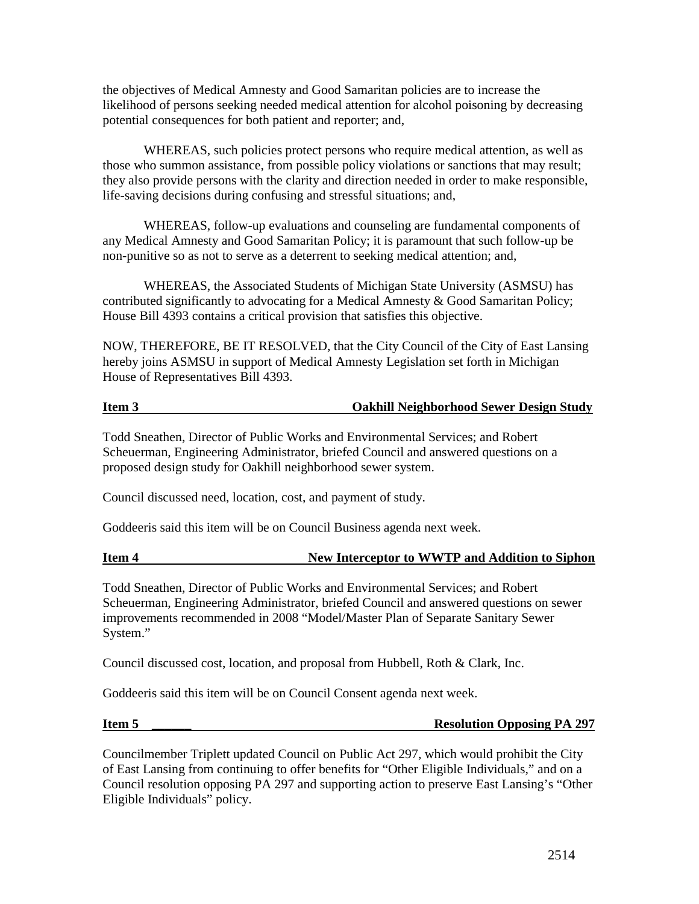the objectives of Medical Amnesty and Good Samaritan policies are to increase the likelihood of persons seeking needed medical attention for alcohol poisoning by decreasing potential consequences for both patient and reporter; and,

WHEREAS, such policies protect persons who require medical attention, as well as those who summon assistance, from possible policy violations or sanctions that may result; they also provide persons with the clarity and direction needed in order to make responsible, life-saving decisions during confusing and stressful situations; and,

WHEREAS, follow-up evaluations and counseling are fundamental components of any Medical Amnesty and Good Samaritan Policy; it is paramount that such follow-up be non-punitive so as not to serve as a deterrent to seeking medical attention; and,

WHEREAS, the Associated Students of Michigan State University (ASMSU) has contributed significantly to advocating for a Medical Amnesty & Good Samaritan Policy; House Bill 4393 contains a critical provision that satisfies this objective.

NOW, THEREFORE, BE IT RESOLVED, that the City Council of the City of East Lansing hereby joins ASMSU in support of Medical Amnesty Legislation set forth in Michigan House of Representatives Bill 4393.

## **Item 3 Oakhill Neighborhood Sewer Design Study**

Todd Sneathen, Director of Public Works and Environmental Services; and Robert Scheuerman, Engineering Administrator, briefed Council and answered questions on a proposed design study for Oakhill neighborhood sewer system.

Council discussed need, location, cost, and payment of study.

Goddeeris said this item will be on Council Business agenda next week.

## **Item 4 New Interceptor to WWTP and Addition to Siphon**

Todd Sneathen, Director of Public Works and Environmental Services; and Robert Scheuerman, Engineering Administrator, briefed Council and answered questions on sewer improvements recommended in 2008 "Model/Master Plan of Separate Sanitary Sewer System."

Council discussed cost, location, and proposal from Hubbell, Roth & Clark, Inc.

Goddeeris said this item will be on Council Consent agenda next week.

## **Item 5** \_\_\_\_\_\_ Resolution Opposing PA 297

Councilmember Triplett updated Council on Public Act 297, which would prohibit the City of East Lansing from continuing to offer benefits for "Other Eligible Individuals," and on a Council resolution opposing PA 297 and supporting action to preserve East Lansing's "Other Eligible Individuals" policy.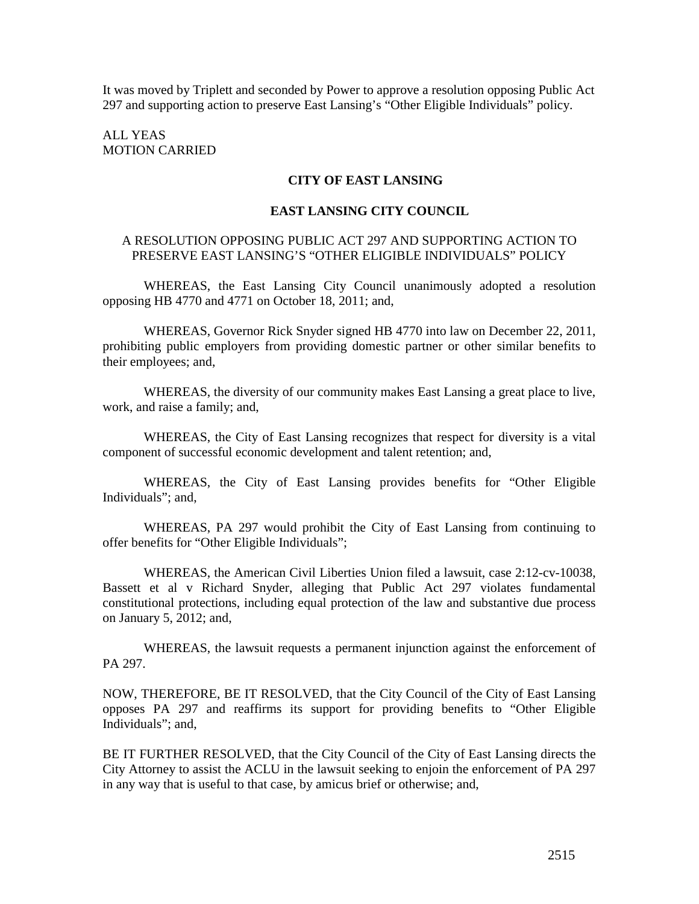It was moved by Triplett and seconded by Power to approve a resolution opposing Public Act 297 and supporting action to preserve East Lansing's "Other Eligible Individuals" policy.

ALL YEAS MOTION CARRIED

### **CITY OF EAST LANSING**

### **EAST LANSING CITY COUNCIL**

## A RESOLUTION OPPOSING PUBLIC ACT 297 AND SUPPORTING ACTION TO PRESERVE EAST LANSING'S "OTHER ELIGIBLE INDIVIDUALS" POLICY

WHEREAS, the East Lansing City Council unanimously adopted a resolution opposing HB 4770 and 4771 on October 18, 2011; and,

WHEREAS, Governor Rick Snyder signed HB 4770 into law on December 22, 2011, prohibiting public employers from providing domestic partner or other similar benefits to their employees; and,

WHEREAS, the diversity of our community makes East Lansing a great place to live, work, and raise a family; and,

WHEREAS, the City of East Lansing recognizes that respect for diversity is a vital component of successful economic development and talent retention; and,

WHEREAS, the City of East Lansing provides benefits for "Other Eligible Individuals"; and,

WHEREAS, PA 297 would prohibit the City of East Lansing from continuing to offer benefits for "Other Eligible Individuals";

WHEREAS, the American Civil Liberties Union filed a lawsuit, case 2:12-cv-10038, Bassett et al v Richard Snyder, alleging that Public Act 297 violates fundamental constitutional protections, including equal protection of the law and substantive due process on January 5, 2012; and,

WHEREAS, the lawsuit requests a permanent injunction against the enforcement of PA 297.

NOW, THEREFORE, BE IT RESOLVED, that the City Council of the City of East Lansing opposes PA 297 and reaffirms its support for providing benefits to "Other Eligible Individuals"; and,

BE IT FURTHER RESOLVED, that the City Council of the City of East Lansing directs the City Attorney to assist the ACLU in the lawsuit seeking to enjoin the enforcement of PA 297 in any way that is useful to that case, by amicus brief or otherwise; and,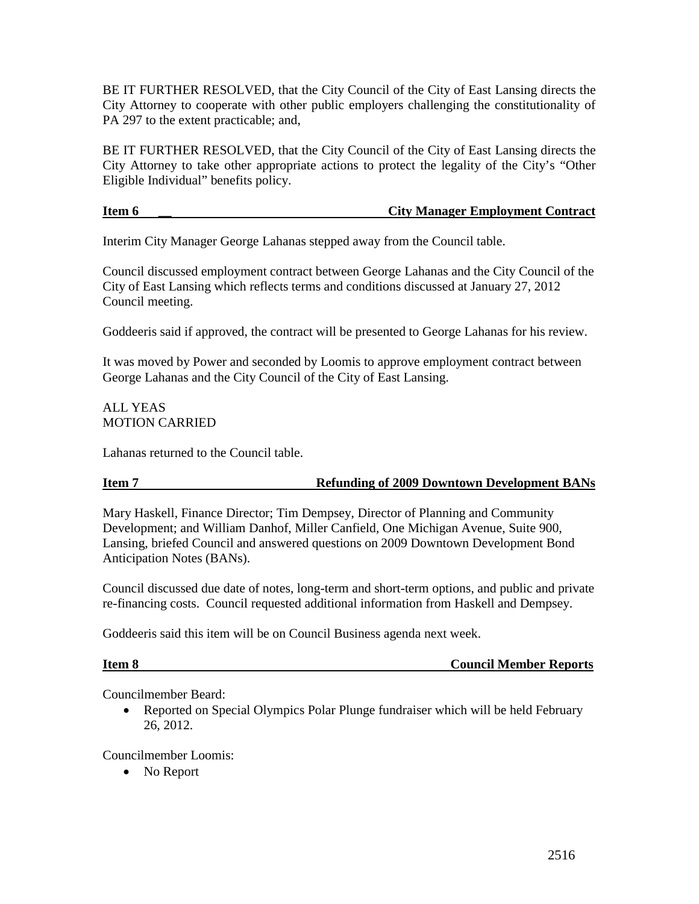BE IT FURTHER RESOLVED, that the City Council of the City of East Lansing directs the City Attorney to cooperate with other public employers challenging the constitutionality of PA 297 to the extent practicable; and,

BE IT FURTHER RESOLVED, that the City Council of the City of East Lansing directs the City Attorney to take other appropriate actions to protect the legality of the City's "Other Eligible Individual" benefits policy.

# **Item 6 \_\_ City Manager Employment Contract**

Interim City Manager George Lahanas stepped away from the Council table.

Council discussed employment contract between George Lahanas and the City Council of the City of East Lansing which reflects terms and conditions discussed at January 27, 2012 Council meeting.

Goddeeris said if approved, the contract will be presented to George Lahanas for his review.

It was moved by Power and seconded by Loomis to approve employment contract between George Lahanas and the City Council of the City of East Lansing.

## ALL YEAS MOTION CARRIED

Lahanas returned to the Council table.

# **Item 7** Refunding of 2009 Downtown Development BANs

Mary Haskell, Finance Director; Tim Dempsey, Director of Planning and Community Development; and William Danhof, Miller Canfield, One Michigan Avenue, Suite 900, Lansing, briefed Council and answered questions on 2009 Downtown Development Bond Anticipation Notes (BANs).

Council discussed due date of notes, long-term and short-term options, and public and private re-financing costs. Council requested additional information from Haskell and Dempsey.

Goddeeris said this item will be on Council Business agenda next week.

|--|

**Council Member Reports** 

Councilmember Beard:

• Reported on Special Olympics Polar Plunge fundraiser which will be held February 26, 2012.

Councilmember Loomis:

• No Report